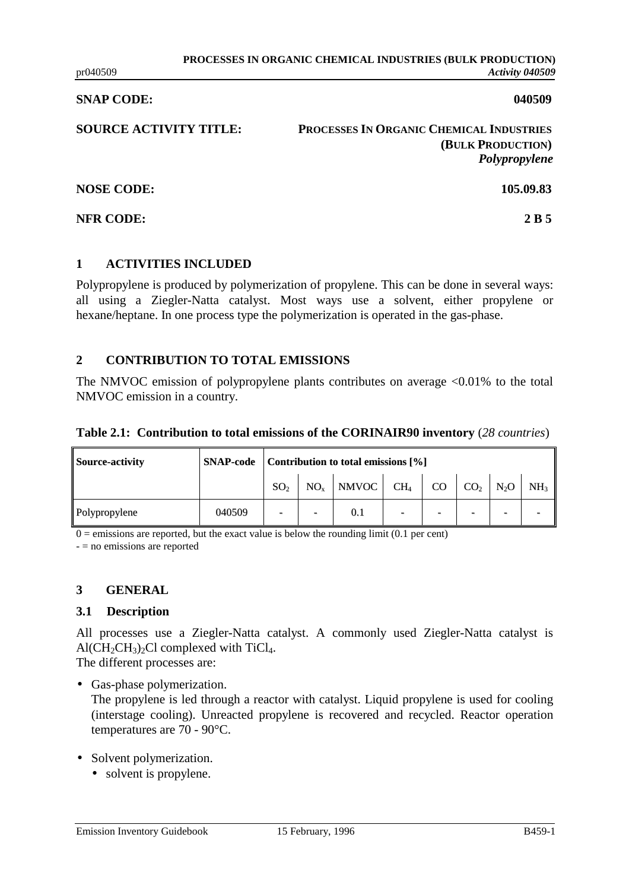#### **SNAP CODE:** 040509

**SOURCE ACTIVITY TITLE: PROCESSES IN ORGANIC CHEMICAL INDUSTRIES (BULK PRODUCTION)** *Polypropylene*

**NOSE CODE: 105.09.83**

**NFR CODE:** 2 B 5

## **1 ACTIVITIES INCLUDED**

Polypropylene is produced by polymerization of propylene. This can be done in several ways: all using a Ziegler-Natta catalyst. Most ways use a solvent, either propylene or hexane/heptane. In one process type the polymerization is operated in the gas-phase.

# **2 CONTRIBUTION TO TOTAL EMISSIONS**

The NMVOC emission of polypropylene plants contributes on average  $\langle 0.01\%$  to the total NMVOC emission in a country.

|  | Table 2.1: Contribution to total emissions of the CORINAIR90 inventory (28 countries) |  |  |  |  |
|--|---------------------------------------------------------------------------------------|--|--|--|--|
|--|---------------------------------------------------------------------------------------|--|--|--|--|

| <b>Source-activity</b> | <b>SNAP-code</b> | Contribution to total emissions [%] |                          |                                                 |   |                          |        |                 |
|------------------------|------------------|-------------------------------------|--------------------------|-------------------------------------------------|---|--------------------------|--------|-----------------|
|                        |                  | SO <sub>2</sub>                     |                          | $NO_x$ NMVOC CH <sub>4</sub> CO CO <sub>2</sub> |   |                          | $N_2O$ | NH <sub>3</sub> |
| Polypropylene          | 040509           |                                     | $\overline{\phantom{a}}$ | 0.1                                             | - | $\overline{\phantom{0}}$ |        |                 |

 $0 =$  emissions are reported, but the exact value is below the rounding limit (0.1 per cent)

- = no emissions are reported

# **3 GENERAL**

#### **3.1 Description**

All processes use a Ziegler-Natta catalyst. A commonly used Ziegler-Natta catalyst is  $Al(CH_2CH_3)_2Cl$  complexed with TiCl<sub>4</sub>.

The different processes are:

• Gas-phase polymerization.

The propylene is led through a reactor with catalyst. Liquid propylene is used for cooling (interstage cooling). Unreacted propylene is recovered and recycled. Reactor operation temperatures are 70 - 90°C.

- Solvent polymerization.
	- solvent is propylene.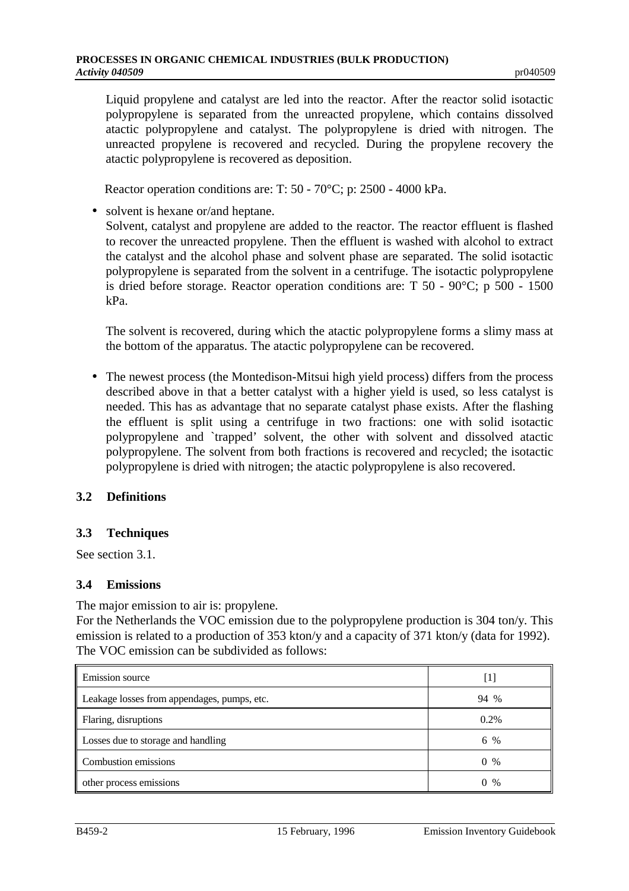Liquid propylene and catalyst are led into the reactor. After the reactor solid isotactic polypropylene is separated from the unreacted propylene, which contains dissolved atactic polypropylene and catalyst. The polypropylene is dried with nitrogen. The unreacted propylene is recovered and recycled. During the propylene recovery the atactic polypropylene is recovered as deposition.

Reactor operation conditions are: T: 50 - 70°C; p: 2500 - 4000 kPa.

• solvent is hexane or/and heptane. Solvent, catalyst and propylene are added to the reactor. The reactor effluent is flashed to recover the unreacted propylene. Then the effluent is washed with alcohol to extract the catalyst and the alcohol phase and solvent phase are separated. The solid isotactic polypropylene is separated from the solvent in a centrifuge. The isotactic polypropylene is dried before storage. Reactor operation conditions are: T 50 - 90°C; p 500 - 1500 kPa.

The solvent is recovered, during which the atactic polypropylene forms a slimy mass at the bottom of the apparatus. The atactic polypropylene can be recovered.

• The newest process (the Montedison-Mitsui high yield process) differs from the process described above in that a better catalyst with a higher yield is used, so less catalyst is needed. This has as advantage that no separate catalyst phase exists. After the flashing the effluent is split using a centrifuge in two fractions: one with solid isotactic polypropylene and `trapped' solvent, the other with solvent and dissolved atactic polypropylene. The solvent from both fractions is recovered and recycled; the isotactic polypropylene is dried with nitrogen; the atactic polypropylene is also recovered.

# **3.2 Definitions**

# **3.3 Techniques**

See section 3.1.

#### **3.4 Emissions**

The major emission to air is: propylene.

For the Netherlands the VOC emission due to the polypropylene production is 304 ton/y. This emission is related to a production of 353 kton/y and a capacity of 371 kton/y (data for 1992). The VOC emission can be subdivided as follows:

| Emission source                             | $\left[1\right]$ |
|---------------------------------------------|------------------|
| Leakage losses from appendages, pumps, etc. | 94 %             |
| Flaring, disruptions                        | $0.2\%$          |
| Losses due to storage and handling          | 6 %              |
| Combustion emissions                        | $0 \%$           |
| other process emissions                     | $0 \frac{9}{6}$  |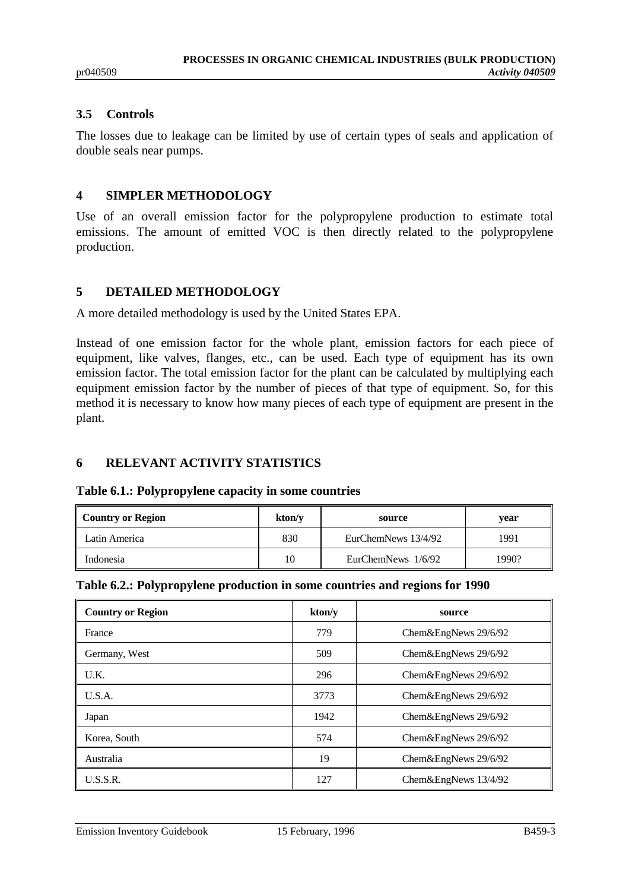## **3.5 Controls**

The losses due to leakage can be limited by use of certain types of seals and application of double seals near pumps.

#### **4 SIMPLER METHODOLOGY**

Use of an overall emission factor for the polypropylene production to estimate total emissions. The amount of emitted VOC is then directly related to the polypropylene production.

# **5 DETAILED METHODOLOGY**

A more detailed methodology is used by the United States EPA.

Instead of one emission factor for the whole plant, emission factors for each piece of equipment, like valves, flanges, etc., can be used. Each type of equipment has its own emission factor. The total emission factor for the plant can be calculated by multiplying each equipment emission factor by the number of pieces of that type of equipment. So, for this method it is necessary to know how many pieces of each type of equipment are present in the plant.

# **6 RELEVANT ACTIVITY STATISTICS**

**Table 6.1.: Polypropylene capacity in some countries**

| Country or Region | kton/y | source              | vear  |
|-------------------|--------|---------------------|-------|
| Latin America     | 830    | EurChemNews 13/4/92 | 1991  |
| Indonesia         | 10     | EurChemNews 1/6/92  | 1990? |

|  |  |  |  | Table 6.2.: Polypropylene production in some countries and regions for 1990 |  |
|--|--|--|--|-----------------------------------------------------------------------------|--|
|  |  |  |  |                                                                             |  |

| <b>Country or Region</b> | kton/v | source                    |
|--------------------------|--------|---------------------------|
| France                   | 779    | Chem&EngNews 29/6/92      |
| Germany, West            | 509    | Chem $\&$ EngNews 29/6/92 |
| U.K.                     | 296    | Chem $\&$ EngNews 29/6/92 |
| U.S.A.                   | 3773   | Chem $\&$ EngNews 29/6/92 |
| Japan                    | 1942   | Chem $&EngNews 29/6/92$   |
| Korea, South             | 574    | Chem $\&$ EngNews 29/6/92 |
| Australia                | 19     | Chem $&EngNews 29/6/92$   |
| U.S.S.R.                 | 127    | Chem $&EngNews\ 13/4/92$  |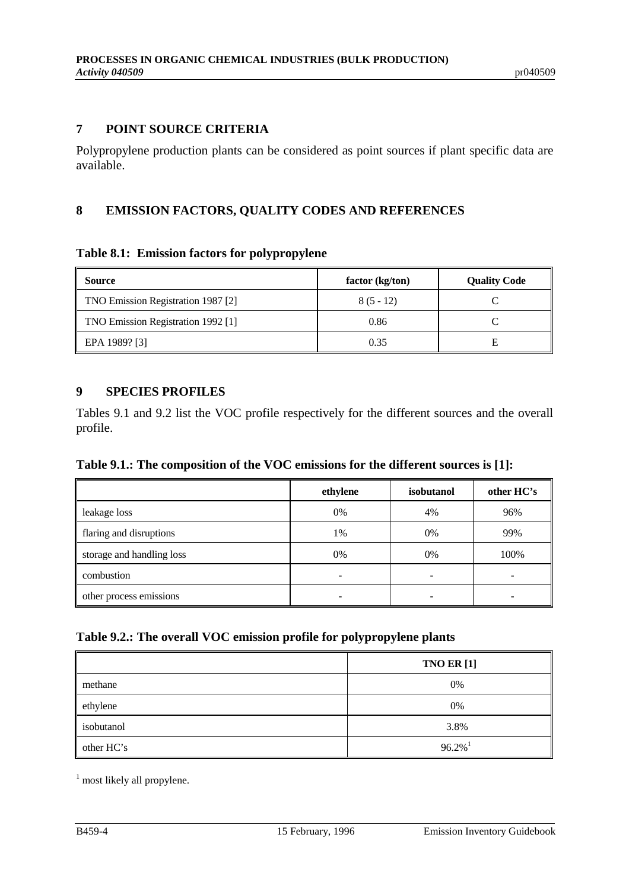## **7 POINT SOURCE CRITERIA**

Polypropylene production plants can be considered as point sources if plant specific data are available.

## **8 EMISSION FACTORS, QUALITY CODES AND REFERENCES**

#### **Table 8.1: Emission factors for polypropylene**

| Source                             | factor (kg/ton) | <b>Quality Code</b> |
|------------------------------------|-----------------|---------------------|
| TNO Emission Registration 1987 [2] | $8(5-12)$       |                     |
| TNO Emission Registration 1992 [1] | 0.86            |                     |
| EPA 1989? [3]                      | 0.35            | E                   |

## **9 SPECIES PROFILES**

Tables 9.1 and 9.2 list the VOC profile respectively for the different sources and the overall profile.

#### **Table 9.1.: The composition of the VOC emissions for the different sources is [1]:**

|                           | ethylene | isobutanol | other HC's |
|---------------------------|----------|------------|------------|
| leakage loss              | 0%       | 4%         | 96%        |
| flaring and disruptions   | 1%       | 0%         | 99%        |
| storage and handling loss | 0%       | 0%         | 100%       |
| combustion                |          |            |            |
| other process emissions   |          |            |            |

## **Table 9.2.: The overall VOC emission profile for polypropylene plants**

|            | <b>TNO ER [1]</b>     |
|------------|-----------------------|
| methane    | 0%                    |
| ethylene   | 0%                    |
| isobutanol | 3.8%                  |
| other HC's | $96.2\%$ <sup>1</sup> |

<sup>1</sup> most likely all propylene.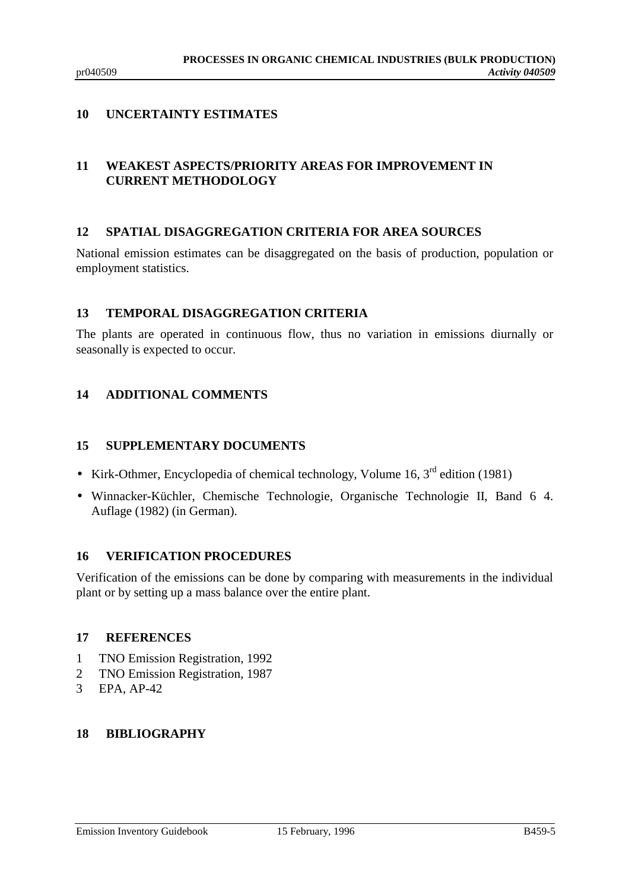# **10 UNCERTAINTY ESTIMATES**

# **11 WEAKEST ASPECTS/PRIORITY AREAS FOR IMPROVEMENT IN CURRENT METHODOLOGY**

## **12 SPATIAL DISAGGREGATION CRITERIA FOR AREA SOURCES**

National emission estimates can be disaggregated on the basis of production, population or employment statistics.

## **13 TEMPORAL DISAGGREGATION CRITERIA**

The plants are operated in continuous flow, thus no variation in emissions diurnally or seasonally is expected to occur.

# **14 ADDITIONAL COMMENTS**

## **15 SUPPLEMENTARY DOCUMENTS**

- Kirk-Othmer, Encyclopedia of chemical technology, Volume 16,  $3<sup>rd</sup>$  edition (1981)
- Winnacker-Küchler, Chemische Technologie, Organische Technologie II, Band 6 4. Auflage (1982) (in German).

# **16 VERIFICATION PROCEDURES**

Verification of the emissions can be done by comparing with measurements in the individual plant or by setting up a mass balance over the entire plant.

#### **17 REFERENCES**

- 1 TNO Emission Registration, 1992
- 2 TNO Emission Registration, 1987
- 3 EPA, AP-42

#### **18 BIBLIOGRAPHY**